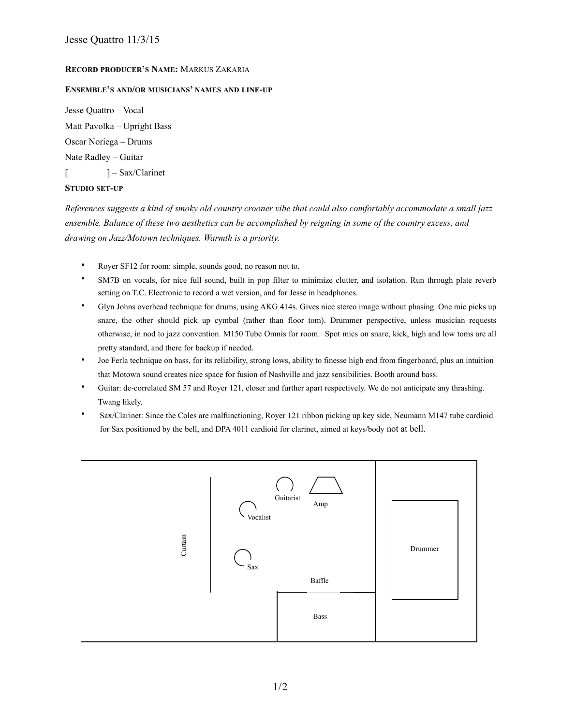## **RECORD PRODUCER'S NAME:** MARKUS ZAKARIA

## **ENSEMBLE'S AND/OR MUSICIANS' NAMES AND LINE-UP**

Jesse Quattro – Vocal Matt Pavolka – Upright Bass Oscar Noriega – Drums Nate Radley – Guitar [  $] - Sax/Clarinet$ 

## **STUDIO SET-UP**

*References suggests a kind of smoky old country crooner vibe that could also comfortably accommodate a small jazz ensemble. Balance of these two aesthetics can be accomplished by reigning in some of the country excess, and drawing on Jazz/Motown techniques. Warmth is a priority.* 

- Royer SF12 for room: simple, sounds good, no reason not to.
- SM7B on vocals, for nice full sound, built in pop filter to minimize clutter, and isolation. Run through plate reverb setting on T.C. Electronic to record a wet version, and for Jesse in headphones.
- Glyn Johns overhead technique for drums, using AKG 414s. Gives nice stereo image without phasing. One mic picks up snare, the other should pick up cymbal (rather than floor tom). Drummer perspective, unless musician requests otherwise, in nod to jazz convention. M150 Tube Omnis for room. Spot mics on snare, kick, high and low toms are all pretty standard, and there for backup if needed.
- Joe Ferla technique on bass, for its reliability, strong lows, ability to finesse high end from fingerboard, plus an intuition that Motown sound creates nice space for fusion of Nashville and jazz sensibilities. Booth around bass.
- Guitar: de-correlated SM 57 and Royer 121, closer and further apart respectively. We do not anticipate any thrashing. Twang likely.
- Sax/Clarinet: Since the Coles are malfunctioning, Royer 121 ribbon picking up key side, Neumann M147 tube cardioid for Sax positioned by the bell, and DPA 4011 cardioid for clarinet, aimed at keys/body not at bell.